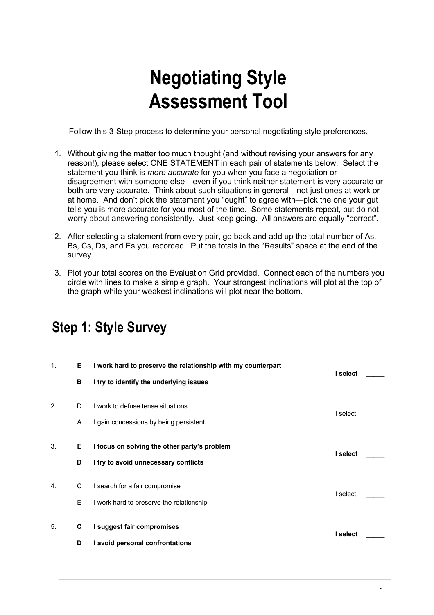# **Negotiating Style Assessment Tool**

Follow this 3-Step process to determine your personal negotiating style preferences.

- 1. Without giving the matter too much thought (and without revising your answers for any reason!), please select ONE STATEMENT in each pair of statements below. Select the statement you think is *more accurate* for you when you face a negotiation or disagreement with someone else—even if you think neither statement is very accurate or both are very accurate. Think about such situations in general—not just ones at work or at home. And don't pick the statement you "ought" to agree with—pick the one your gut tells you is more accurate for you most of the time. Some statements repeat, but do not worry about answering consistently. Just keep going. All answers are equally "correct".
- 2. After selecting a statement from every pair, go back and add up the total number of As, Bs, Cs, Ds, and Es you recorded. Put the totals in the "Results" space at the end of the survey.
- 3. Plot your total scores on the Evaluation Grid provided. Connect each of the numbers you circle with lines to make a simple graph. Your strongest inclinations will plot at the top of the graph while your weakest inclinations will plot near the bottom.

#### 1. **E I work hard to preserve the relationship with my counterpart I select** \_\_\_\_\_ **B I try to identify the underlying issues** 2. D I work to defuse tense situations I select \_\_\_\_\_ A I gain concessions by being persistent 3. **E I focus on solving the other party's problem I select** \_\_\_\_\_ **D I try to avoid unnecessary conflicts** 4. C I search for a fair compromise I select \_\_\_\_\_ E I work hard to preserve the relationship 5. **C I suggest fair compromises I select** \_\_\_\_\_ **D I avoid personal confrontations**

### **Step 1: Style Survey**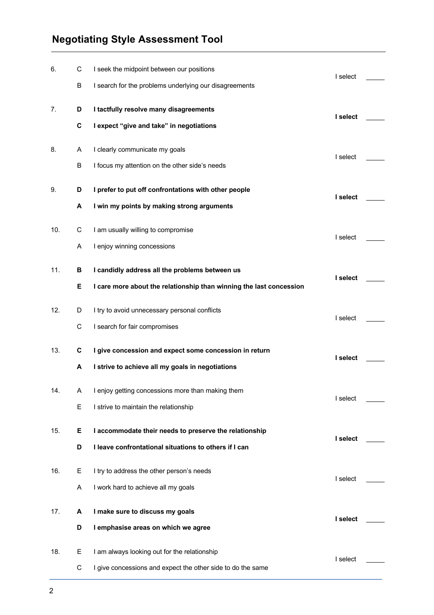#### **Negotiating Style Assessment Tool**

| 6.  | С | I seek the midpoint between our positions                           | I select |  |
|-----|---|---------------------------------------------------------------------|----------|--|
|     | В | I search for the problems underlying our disagreements              |          |  |
| 7.  | D | I tactfully resolve many disagreements                              | I select |  |
|     | C | I expect "give and take" in negotiations                            |          |  |
| 8.  | Α | I clearly communicate my goals                                      |          |  |
|     | B | I focus my attention on the other side's needs                      | I select |  |
| 9.  | D | I prefer to put off confrontations with other people                |          |  |
|     | A | I win my points by making strong arguments                          | I select |  |
| 10. | C | I am usually willing to compromise                                  |          |  |
|     | Α | I enjoy winning concessions                                         | I select |  |
| 11. | в | I candidly address all the problems between us                      |          |  |
|     | Е | I care more about the relationship than winning the last concession | I select |  |
| 12. | D | I try to avoid unnecessary personal conflicts                       |          |  |
|     | С | I search for fair compromises                                       | I select |  |
| 13. | C | I give concession and expect some concession in return              | I select |  |
|     | A | I strive to achieve all my goals in negotiations                    |          |  |
| 14. | A | I enjoy getting concessions more than making them                   |          |  |
|     | E | I strive to maintain the relationship                               | I select |  |
| 15. | Е | I accommodate their needs to preserve the relationship              |          |  |
|     | D | I leave confrontational situations to others if I can               | I select |  |
| 16. | Е | I try to address the other person's needs                           |          |  |
|     | Α | I work hard to achieve all my goals                                 | I select |  |
| 17. | A | I make sure to discuss my goals                                     |          |  |
|     | D | I emphasise areas on which we agree                                 | I select |  |
| 18. | Ε | I am always looking out for the relationship                        | I select |  |
|     | C | I give concessions and expect the other side to do the same         |          |  |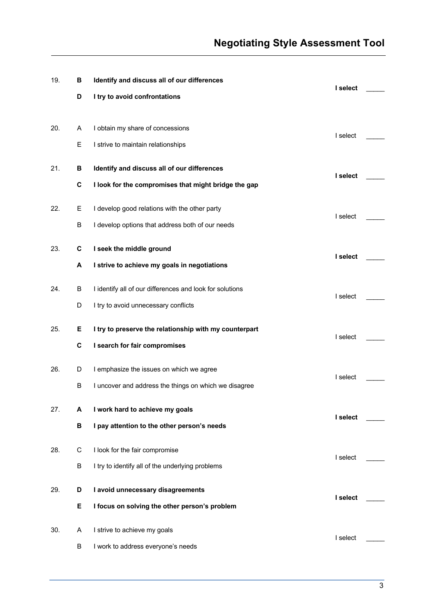| 19. | В | Identify and discuss all of our differences              | I select |  |
|-----|---|----------------------------------------------------------|----------|--|
|     | D | I try to avoid confrontations                            |          |  |
|     |   |                                                          |          |  |
| 20. | A | I obtain my share of concessions                         | I select |  |
|     | Е | I strive to maintain relationships                       |          |  |
| 21. | В | Identify and discuss all of our differences              |          |  |
|     |   |                                                          | I select |  |
|     | C | I look for the compromises that might bridge the gap     |          |  |
| 22. | Е | I develop good relations with the other party            |          |  |
|     | В | I develop options that address both of our needs         | I select |  |
| 23. | C | I seek the middle ground                                 |          |  |
|     |   |                                                          | I select |  |
|     | Α | I strive to achieve my goals in negotiations             |          |  |
| 24. | В | I identify all of our differences and look for solutions | I select |  |
|     | D | I try to avoid unnecessary conflicts                     |          |  |
| 25. | Е | I try to preserve the relationship with my counterpart   |          |  |
|     |   |                                                          | I select |  |
|     | С | I search for fair compromises                            |          |  |
| 26. | D | I emphasize the issues on which we agree                 | I select |  |
|     | В | I uncover and address the things on which we disagree    |          |  |
| 27. | A | I work hard to achieve my goals                          |          |  |
|     | в |                                                          | I select |  |
|     |   | I pay attention to the other person's needs              |          |  |
| 28. | C | I look for the fair compromise                           | I select |  |
|     | В | I try to identify all of the underlying problems         |          |  |
| 29. | D | I avoid unnecessary disagreements                        |          |  |
|     |   |                                                          | I select |  |
|     | Е | I focus on solving the other person's problem            |          |  |
| 30. | A | I strive to achieve my goals                             | I select |  |
|     | B | I work to address everyone's needs                       |          |  |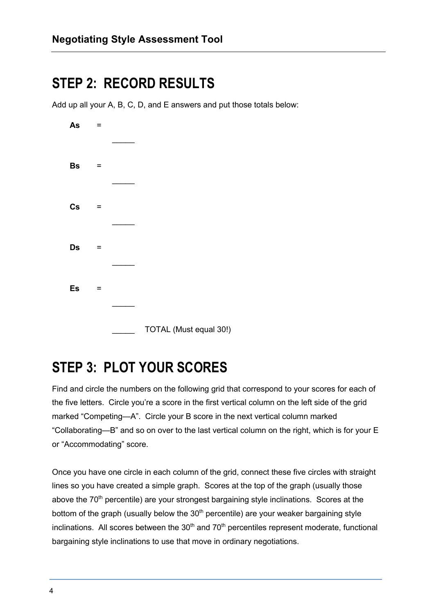## **STEP 2: RECORD RESULTS**

Add up all your A, B, C, D, and E answers and put those totals below:

| As | $=$ |                        |
|----|-----|------------------------|
|    |     |                        |
| Bs | $=$ |                        |
|    |     |                        |
| Cs | $=$ |                        |
|    |     |                        |
| Ds | $=$ |                        |
|    |     |                        |
| Es | $=$ |                        |
|    |     |                        |
|    |     | TOTAL (Must equal 30!) |

# **STEP 3: PLOT YOUR SCORES**

Find and circle the numbers on the following grid that correspond to your scores for each of the five letters. Circle you're a score in the first vertical column on the left side of the grid marked "Competing—A". Circle your B score in the next vertical column marked "Collaborating—B" and so on over to the last vertical column on the right, which is for your E or "Accommodating" score.

Once you have one circle in each column of the grid, connect these five circles with straight lines so you have created a simple graph. Scores at the top of the graph (usually those above the  $70<sup>th</sup>$  percentile) are your strongest bargaining style inclinations. Scores at the bottom of the graph (usually below the  $30<sup>th</sup>$  percentile) are your weaker bargaining style inclinations. All scores between the  $30<sup>th</sup>$  and  $70<sup>th</sup>$  percentiles represent moderate, functional bargaining style inclinations to use that move in ordinary negotiations.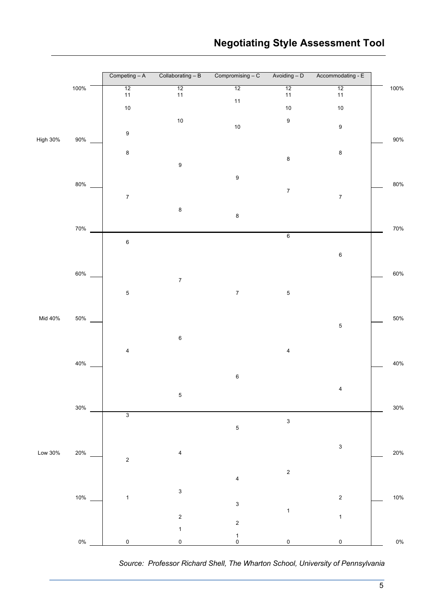

*Source: Professor Richard Shell, The Wharton School, University of Pennsylvania*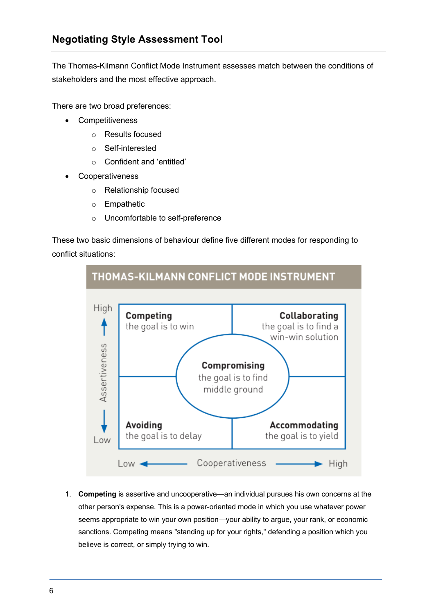The Thomas-Kilmann Conflict Mode Instrument assesses match between the conditions of stakeholders and the most effective approach.

There are two broad preferences:

- Competitiveness
	- o Results focused
	- o Self-interested
	- o Confident and 'entitled'
- **Cooperativeness** 
	- o Relationship focused
	- o Empathetic
	- o Uncomfortable to self-preference

These two basic dimensions of behaviour define five different modes for responding to conflict situations:



1. **Competing** is assertive and uncooperative—an individual pursues his own concerns at the other person's expense. This is a power-oriented mode in which you use whatever power seems appropriate to win your own position—your ability to argue, your rank, or economic sanctions. Competing means "standing up for your rights," defending a position which you believe is correct, or simply trying to win.